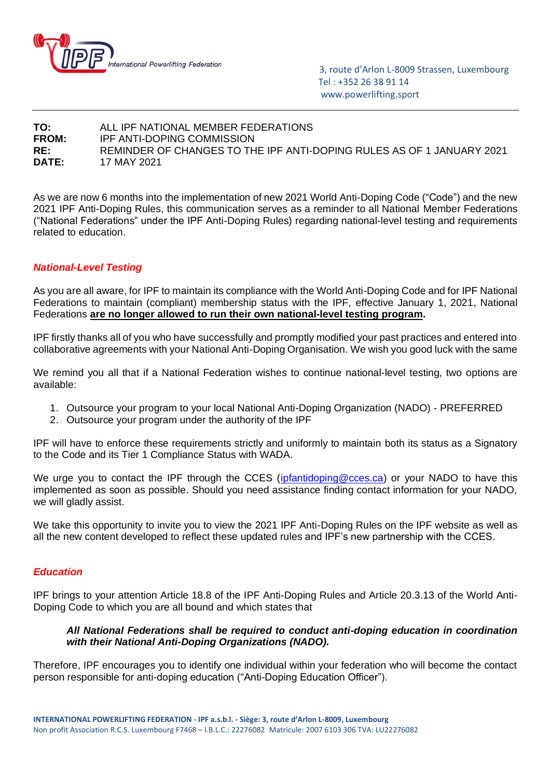

 3, route d'Arlon L-8009 Strassen, Luxembourg Tel : +352 26 38 91 14 www.powerlifting.sport

## **TO:** ALL IPF NATIONAL MEMBER FEDERATIONS **FROM:** IPF ANTI-DOPING COMMISSION **RE:** REMINDER OF CHANGES TO THE IPF ANTI-DOPING RULES AS OF 1 JANUARY 2021 **DATE:** 17 MAY 2021

As we are now 6 months into the implementation of new 2021 World Anti-Doping Code ("Code") and the new 2021 IPF Anti-Doping Rules, this communication serves as a reminder to all National Member Federations ("National Federations" under the IPF Anti-Doping Rules) regarding national-level testing and requirements related to education.

# *National-Level Testing*

As you are all aware, for IPF to maintain its compliance with the World Anti-Doping Code and for IPF National Federations to maintain (compliant) membership status with the IPF, effective January 1, 2021, National Federations **are no longer allowed to run their own national-level testing program.**

IPF firstly thanks all of you who have successfully and promptly modified your past practices and entered into collaborative agreements with your National Anti-Doping Organisation. We wish you good luck with the same

We remind you all that if a National Federation wishes to continue national-level testing, two options are available:

- 1. Outsource your program to your local National Anti-Doping Organization (NADO) PREFERRED
- 2. Outsource your program under the authority of the IPF

IPF will have to enforce these requirements strictly and uniformly to maintain both its status as a Signatory to the Code and its Tier 1 Compliance Status with WADA.

We urge you to contact the IPF through the CCES [\(ipfantidoping@cces.ca\)](mailto:ipfantidoping@cces.ca) or your NADO to have this implemented as soon as possible. Should you need assistance finding contact information for your NADO, we will gladly assist.

We take this opportunity to invite you to view the 2021 IPF Anti-Doping Rules on the IPF website as well as all the new content developed to reflect these updated rules and IPF's new partnership with the CCES.

#### *Education*

IPF brings to your attention Article 18.8 of the IPF Anti-Doping Rules and Article 20.3.13 of the World Anti-Doping Code to which you are all bound and which states that

### *All National Federations shall be required to conduct anti-doping education in coordination with their National Anti-Doping Organizations (NADO).*

Therefore, IPF encourages you to identify one individual within your federation who will become the contact person responsible for anti-doping education ("Anti-Doping Education Officer").